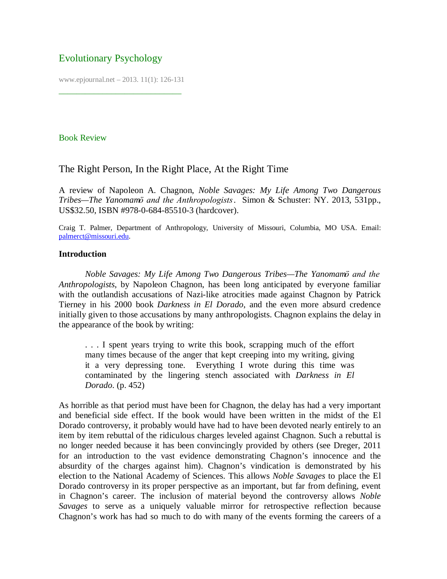# Evolutionary Psychology

www.epjournal.net – 2013. 11(1): 126-131

¯¯¯¯¯¯¯¯¯¯¯¯¯¯¯¯¯¯¯¯¯¯¯¯¯¯¯¯

Book Review

The Right Person, In the Right Place, At the Right Time

A review of Napoleon A. Chagnon, *Noble Savages: My Life Among Two Dangerous Tribes—The Yanomamӧ and the Anthropologists*. Simon & Schuster: NY. 2013, 531pp., US\$32.50, ISBN #978-0-684-85510-3 (hardcover).

Craig T. Palmer, Department of Anthropology, University of Missouri, Columbia, MO USA. Email: [palmerct@missouri.edu.](mailto:palmerct@missouri.edu)

# **Introduction**

*Noble Savages: My Life Among Two Dangerous Tribes—The Yanomamӧ and the Anthropologists*, by Napoleon Chagnon, has been long anticipated by everyone familiar with the outlandish accusations of Nazi-like atrocities made against Chagnon by Patrick Tierney in his 2000 book *Darkness in El Dorado*, and the even more absurd credence initially given to those accusations by many anthropologists. Chagnon explains the delay in the appearance of the book by writing:

. . . I spent years trying to write this book, scrapping much of the effort many times because of the anger that kept creeping into my writing, giving it a very depressing tone. Everything I wrote during this time was contaminated by the lingering stench associated with *Darkness in El Dorado*. (p. 452)

As horrible as that period must have been for Chagnon, the delay has had a very important and beneficial side effect. If the book would have been written in the midst of the El Dorado controversy, it probably would have had to have been devoted nearly entirely to an item by item rebuttal of the ridiculous charges leveled against Chagnon. Such a rebuttal is no longer needed because it has been convincingly provided by others (see Dreger, 2011 for an introduction to the vast evidence demonstrating Chagnon's innocence and the absurdity of the charges against him). Chagnon's vindication is demonstrated by his election to the National Academy of Sciences. This allows *Noble Savages* to place the El Dorado controversy in its proper perspective as an important, but far from defining, event in Chagnon's career. The inclusion of material beyond the controversy allows *Noble Savages* to serve as a uniquely valuable mirror for retrospective reflection because Chagnon's work has had so much to do with many of the events forming the careers of a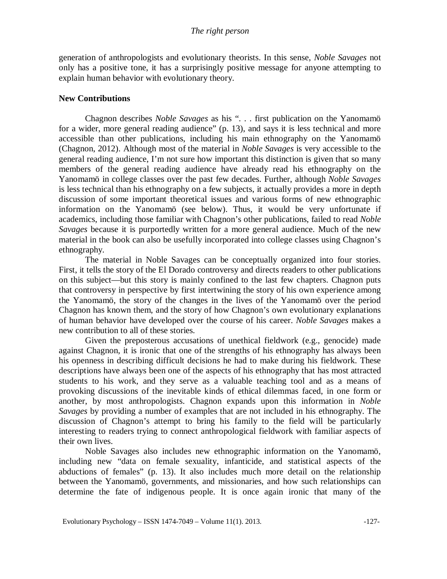generation of anthropologists and evolutionary theorists. In this sense, *Noble Savages* not only has a positive tone, it has a surprisingly positive message for anyone attempting to explain human behavior with evolutionary theory.

## **New Contributions**

Chagnon describes *Noble Savages* as his ". . . first publication on the Yanomamö for a wider, more general reading audience" (p. 13), and says it is less technical and more accessible than other publications, including his main ethnography on the Yanomamö (Chagnon, 2012). Although most of the material in *Noble Savages* is very accessible to the general reading audience, I'm not sure how important this distinction is given that so many members of the general reading audience have already read his ethnography on the Yanomamö in college classes over the past few decades. Further, although *Noble Savages* is less technical than his ethnography on a few subjects, it actually provides a more in depth discussion of some important theoretical issues and various forms of new ethnographic information on the Yanomamö (see below). Thus, it would be very unfortunate if academics, including those familiar with Chagnon's other publications, failed to read *Noble Savages* because it is purportedly written for a more general audience. Much of the new material in the book can also be usefully incorporated into college classes using Chagnon's ethnography.

The material in Noble Savages can be conceptually organized into four stories. First, it tells the story of the El Dorado controversy and directs readers to other publications on this subject—but this story is mainly confined to the last few chapters. Chagnon puts that controversy in perspective by first intertwining the story of his own experience among the Yanomamö, the story of the changes in the lives of the Yanomamö over the period Chagnon has known them, and the story of how Chagnon's own evolutionary explanations of human behavior have developed over the course of his career. *Noble Savages* makes a new contribution to all of these stories.

Given the preposterous accusations of unethical fieldwork (e.g., genocide) made against Chagnon, it is ironic that one of the strengths of his ethnography has always been his openness in describing difficult decisions he had to make during his fieldwork. These descriptions have always been one of the aspects of his ethnography that has most attracted students to his work, and they serve as a valuable teaching tool and as a means of provoking discussions of the inevitable kinds of ethical dilemmas faced, in one form or another, by most anthropologists. Chagnon expands upon this information in *Noble Savages* by providing a number of examples that are not included in his ethnography. The discussion of Chagnon's attempt to bring his family to the field will be particularly interesting to readers trying to connect anthropological fieldwork with familiar aspects of their own lives.

Noble Savages also includes new ethnographic information on the Yanomamö, including new "data on female sexuality, infanticide, and statistical aspects of the abductions of females" (p. 13). It also includes much more detail on the relationship between the Yanomamö, governments, and missionaries, and how such relationships can determine the fate of indigenous people. It is once again ironic that many of the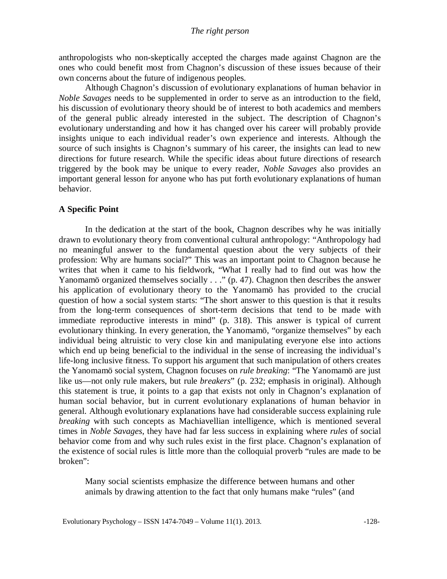anthropologists who non-skeptically accepted the charges made against Chagnon are the ones who could benefit most from Chagnon's discussion of these issues because of their own concerns about the future of indigenous peoples.

Although Chagnon's discussion of evolutionary explanations of human behavior in *Noble Savages* needs to be supplemented in order to serve as an introduction to the field, his discussion of evolutionary theory should be of interest to both academics and members of the general public already interested in the subject. The description of Chagnon's evolutionary understanding and how it has changed over his career will probably provide insights unique to each individual reader's own experience and interests. Although the source of such insights is Chagnon's summary of his career, the insights can lead to new directions for future research. While the specific ideas about future directions of research triggered by the book may be unique to every reader, *Noble Savages* also provides an important general lesson for anyone who has put forth evolutionary explanations of human behavior.

### **A Specific Point**

In the dedication at the start of the book, Chagnon describes why he was initially drawn to evolutionary theory from conventional cultural anthropology: "Anthropology had no meaningful answer to the fundamental question about the very subjects of their profession: Why are humans social?" This was an important point to Chagnon because he writes that when it came to his fieldwork, "What I really had to find out was how the Yanomamö organized themselves socially . . ." (p. 47). Chagnon then describes the answer his application of evolutionary theory to the Yanomamö has provided to the crucial question of how a social system starts: "The short answer to this question is that it results from the long-term consequences of short-term decisions that tend to be made with immediate reproductive interests in mind" (p. 318). This answer is typical of current evolutionary thinking. In every generation, the Yanomamö, "organize themselves" by each individual being altruistic to very close kin and manipulating everyone else into actions which end up being beneficial to the individual in the sense of increasing the individual's life-long inclusive fitness. To support his argument that such manipulation of others creates the Yanomamö social system, Chagnon focuses on *rule breaking*: "The Yanomamö are just like us—not only rule makers, but rule *breakers*" (p. 232; emphasis in original). Although this statement is true, it points to a gap that exists not only in Chagnon's explanation of human social behavior, but in current evolutionary explanations of human behavior in general. Although evolutionary explanations have had considerable success explaining rule *breaking* with such concepts as Machiavellian intelligence, which is mentioned several times in *Noble Savages*, they have had far less success in explaining where *rules* of social behavior come from and why such rules exist in the first place. Chagnon's explanation of the existence of social rules is little more than the colloquial proverb "rules are made to be broken":

Many social scientists emphasize the difference between humans and other animals by drawing attention to the fact that only humans make "rules" (and

Evolutionary Psychology – ISSN 1474-7049 – Volume 11(1). 2013. -128-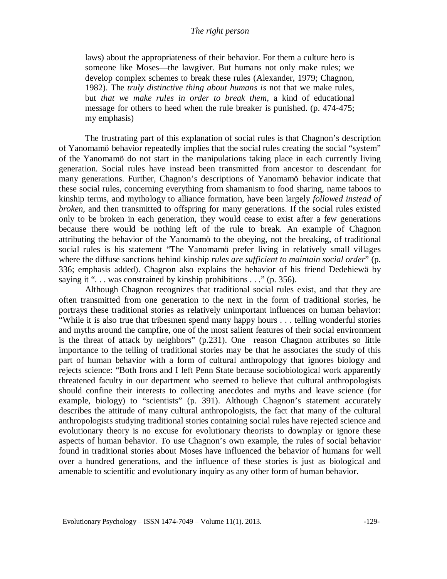#### *The right person*

laws) about the appropriateness of their behavior. For them a culture hero is someone like Moses—the lawgiver. But humans not only make rules; we develop complex schemes to break these rules (Alexander, 1979; Chagnon, 1982). The *truly distinctive thing about humans is* not that we make rules, but *that we make rules in order to break them*, a kind of educational message for others to heed when the rule breaker is punished. (p. 474-475; my emphasis)

The frustrating part of this explanation of social rules is that Chagnon's description of Yanomamö behavior repeatedly implies that the social rules creating the social "system" of the Yanomamö do not start in the manipulations taking place in each currently living generation. Social rules have instead been transmitted from ancestor to descendant for many generations. Further, Chagnon's descriptions of Yanomamö behavior indicate that these social rules, concerning everything from shamanism to food sharing, name taboos to kinship terms, and mythology to alliance formation, have been largely *followed instead of broken,* and then transmitted to offspring for many generations. If the social rules existed only to be broken in each generation, they would cease to exist after a few generations because there would be nothing left of the rule to break. An example of Chagnon attributing the behavior of the Yanomamö to the obeying, not the breaking, of traditional social rules is his statement "The Yanomamö prefer living in relatively small villages where the diffuse sanctions behind kinship *rules are sufficient to maintain social order*" (p. 336; emphasis added). Chagnon also explains the behavior of his friend Dedehiewä by saying it "... was constrained by kinship prohibitions ..." (p. 356).

Although Chagnon recognizes that traditional social rules exist, and that they are often transmitted from one generation to the next in the form of traditional stories, he portrays these traditional stories as relatively unimportant influences on human behavior: "While it is also true that tribesmen spend many happy hours . . . telling wonderful stories and myths around the campfire, one of the most salient features of their social environment is the threat of attack by neighbors" (p.231). One reason Chagnon attributes so little importance to the telling of traditional stories may be that he associates the study of this part of human behavior with a form of cultural anthropology that ignores biology and rejects science: "Both Irons and I left Penn State because sociobiological work apparently threatened faculty in our department who seemed to believe that cultural anthropologists should confine their interests to collecting anecdotes and myths and leave science (for example, biology) to "scientists" (p. 391). Although Chagnon's statement accurately describes the attitude of many cultural anthropologists, the fact that many of the cultural anthropologists studying traditional stories containing social rules have rejected science and evolutionary theory is no excuse for evolutionary theorists to downplay or ignore these aspects of human behavior. To use Chagnon's own example, the rules of social behavior found in traditional stories about Moses have influenced the behavior of humans for well over a hundred generations, and the influence of these stories is just as biological and amenable to scientific and evolutionary inquiry as any other form of human behavior.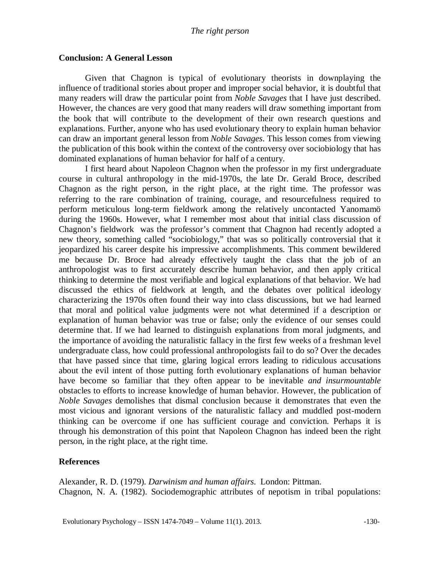#### **Conclusion: A General Lesson**

Given that Chagnon is typical of evolutionary theorists in downplaying the influence of traditional stories about proper and improper social behavior, it is doubtful that many readers will draw the particular point from *Noble Savages* that I have just described. However, the chances are very good that many readers will draw something important from the book that will contribute to the development of their own research questions and explanations. Further, anyone who has used evolutionary theory to explain human behavior can draw an important general lesson from *Noble Savages*. This lesson comes from viewing the publication of this book within the context of the controversy over sociobiology that has dominated explanations of human behavior for half of a century.

I first heard about Napoleon Chagnon when the professor in my first undergraduate course in cultural anthropology in the mid-1970s, the late Dr. Gerald Broce, described Chagnon as the right person, in the right place, at the right time. The professor was referring to the rare combination of training, courage, and resourcefulness required to perform meticulous long-term fieldwork among the relatively uncontacted Yanomamö during the 1960s. However, what I remember most about that initial class discussion of Chagnon's fieldwork was the professor's comment that Chagnon had recently adopted a new theory, something called "sociobiology," that was so politically controversial that it jeopardized his career despite his impressive accomplishments. This comment bewildered me because Dr. Broce had already effectively taught the class that the job of an anthropologist was to first accurately describe human behavior, and then apply critical thinking to determine the most verifiable and logical explanations of that behavior. We had discussed the ethics of fieldwork at length, and the debates over political ideology characterizing the 1970s often found their way into class discussions, but we had learned that moral and political value judgments were not what determined if a description or explanation of human behavior was true or false; only the evidence of our senses could determine that. If we had learned to distinguish explanations from moral judgments, and the importance of avoiding the naturalistic fallacy in the first few weeks of a freshman level undergraduate class, how could professional anthropologists fail to do so? Over the decades that have passed since that time, glaring logical errors leading to ridiculous accusations about the evil intent of those putting forth evolutionary explanations of human behavior have become so familiar that they often appear to be inevitable *and insurmountable* obstacles to efforts to increase knowledge of human behavior. However, the publication of *Noble Savages* demolishes that dismal conclusion because it demonstrates that even the most vicious and ignorant versions of the naturalistic fallacy and muddled post-modern thinking can be overcome if one has sufficient courage and conviction. Perhaps it is through his demonstration of this point that Napoleon Chagnon has indeed been the right person, in the right place, at the right time.

#### **References**

Alexander, R. D. (1979). *Darwinism and human affairs*. London: Pittman. Chagnon, N. A. (1982). Sociodemographic attributes of nepotism in tribal populations:

Evolutionary Psychology – ISSN 1474-7049 – Volume 11(1). 2013. -130-